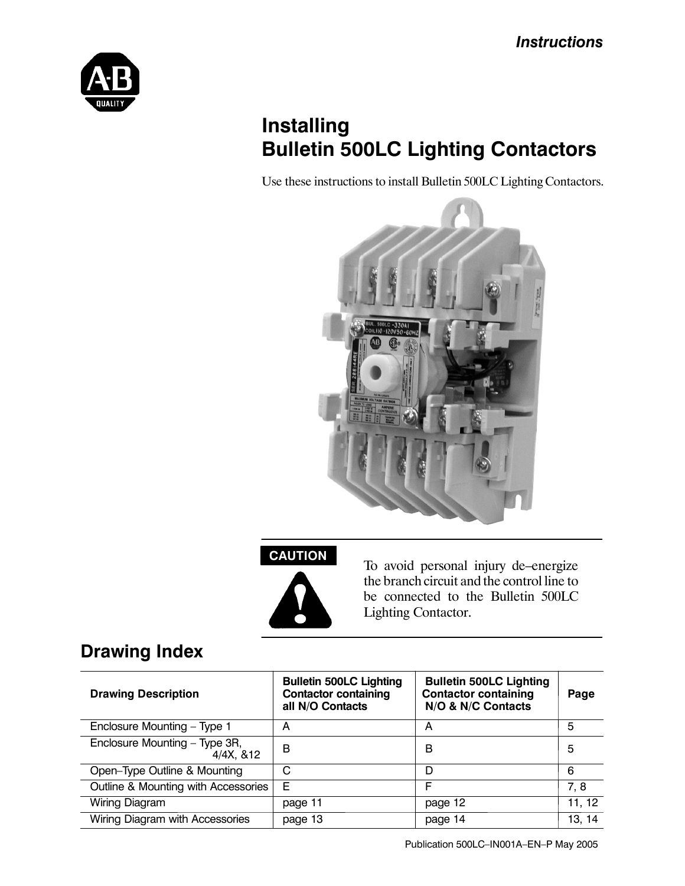

# **Installing Bulletin 500LC Lighting Contactors**

Use these instructions to install Bulletin 500LC Lighting Contactors.



# **CAUTION**



To avoid personal injury de–energize the branch circuit and the control line to be connected to the Bulletin 500LC Lighting Contactor.

# **Drawing Index**

| <b>Drawing Description</b>                 | <b>Bulletin 500LC Lighting</b><br><b>Contactor containing</b><br>all N/O Contacts | <b>Bulletin 500LC Lighting</b><br><b>Contactor containing</b><br>N/O & N/C Contacts | Page   |
|--------------------------------------------|-----------------------------------------------------------------------------------|-------------------------------------------------------------------------------------|--------|
| Enclosure Mounting - Type 1                | А                                                                                 | А                                                                                   | 5      |
| Enclosure Mounting - Type 3R,<br>4/4X, 812 | в                                                                                 | В                                                                                   | 5      |
| Open-Type Outline & Mounting               | С                                                                                 | D                                                                                   | 6      |
| Outline & Mounting with Accessories        | Е                                                                                 | F                                                                                   | 7, 8   |
| Wiring Diagram                             | page 11                                                                           | page 12                                                                             | 11, 12 |
| Wiring Diagram with Accessories            | page 13                                                                           | page 14                                                                             | 13, 14 |

Publication 500LC–IN001A–EN–P May 2005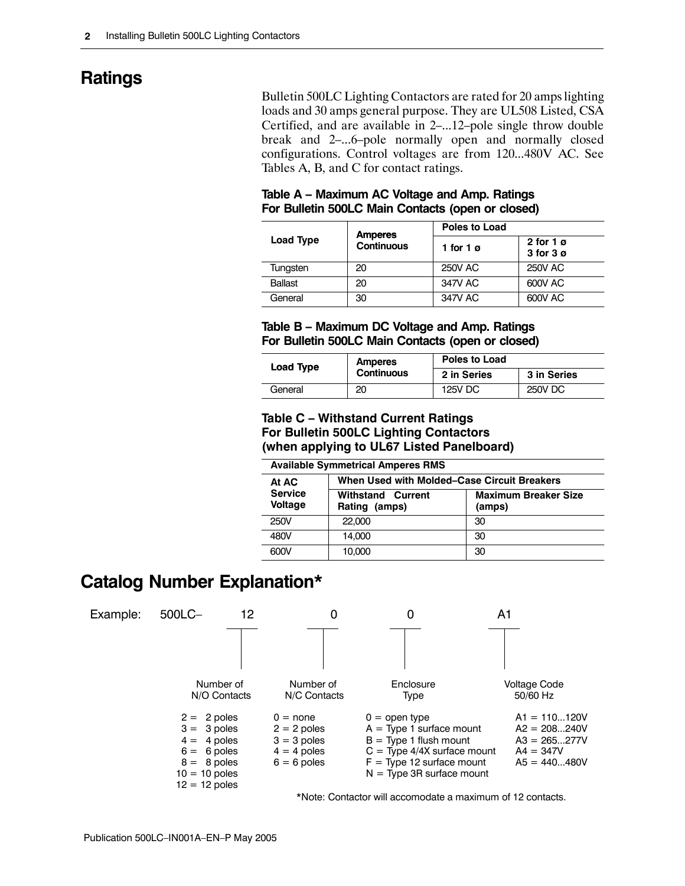# **Ratings**

Bulletin 500LC Lighting Contactors are rated for 20 amps lighting loads and 30 amps general purpose. They are UL508 Listed, CSA Certified, and are available in 2–...12–pole single throw double break and 2–...6–pole normally open and normally closed configurations. Control voltages are from 120...480V AC. See Tables A, B, and C for contact ratings.

| Table A - Maximum AC Voltage and Amp. Ratings     |  |
|---------------------------------------------------|--|
| For Bulletin 500LC Main Contacts (open or closed) |  |

|           |                                     | <b>Poles to Load</b> |                                          |  |  |
|-----------|-------------------------------------|----------------------|------------------------------------------|--|--|
| Load Type | <b>Amperes</b><br><b>Continuous</b> | 1 for 1 $\sigma$     | 2 for 1 $\sigma$<br>$3$ for $3$ $\sigma$ |  |  |
| Tungsten  | 20                                  | <b>250V AC</b>       | <b>250V AC</b>                           |  |  |
| Ballast   | 20                                  | 347V AC              | 600V AC                                  |  |  |
| General   | 30                                  | 347V AC              | 600V AC                                  |  |  |

#### **Table B – Maximum DC Voltage and Amp. Ratings For Bulletin 500LC Main Contacts (open or closed)**

| <b>Load Type</b> | <b>Amperes</b> | Poles to Load |             |  |
|------------------|----------------|---------------|-------------|--|
|                  | Continuous     | 2 in Series   | 3 in Series |  |
| General          | 20             | 125V DC       | 250V DC     |  |

#### **Table C – Withstand Current Ratings For Bulletin 500LC Lighting Contactors (when applying to UL67 Listed Panelboard)**

| <b>Available Symmetrical Amperes RMS</b> |                                             |                                       |  |  |  |
|------------------------------------------|---------------------------------------------|---------------------------------------|--|--|--|
| At AC                                    | When Used with Molded–Case Circuit Breakers |                                       |  |  |  |
| <b>Service</b><br><b>Voltage</b>         | <b>Withstand Current</b><br>Rating (amps)   | <b>Maximum Breaker Size</b><br>(amps) |  |  |  |
| 250V                                     | 22,000                                      | 30                                    |  |  |  |
| 480V                                     | 14.000                                      | 30                                    |  |  |  |
| 600V                                     | 10,000                                      | 30                                    |  |  |  |

# **Catalog Number Explanation\***



\*Note: Contactor will accomodate a maximum of 12 contacts.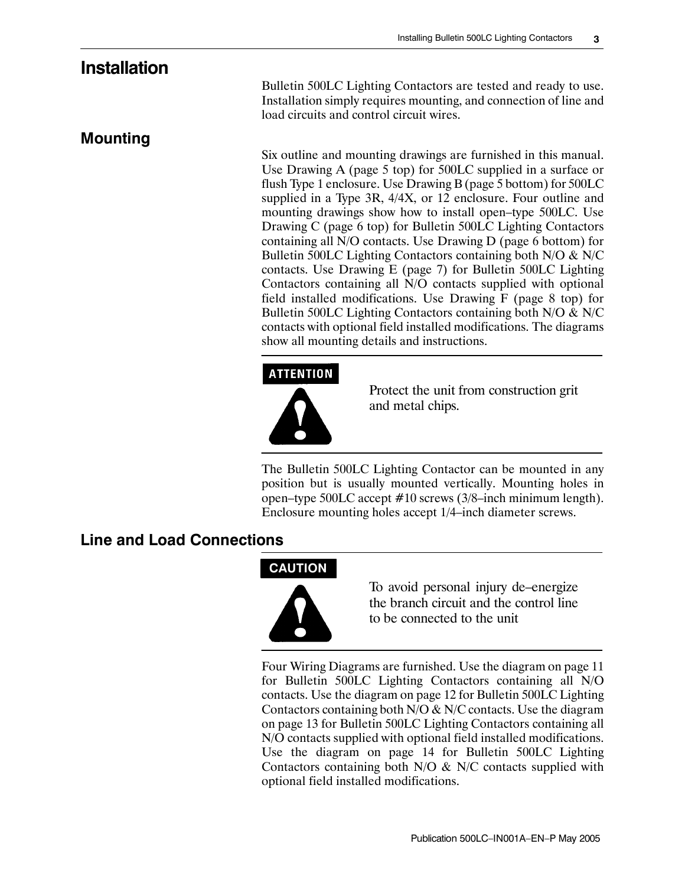#### **Installation**

**Mounting**

Bulletin 500LC Lighting Contactors are tested and ready to use. Installation simply requires mounting, and connection of line and load circuits and control circuit wires.

Six outline and mounting drawings are furnished in this manual. Use Drawing A (page 5 top) for 500LC supplied in a surface or flush Type 1 enclosure. Use Drawing B (page 5 bottom) for 500LC supplied in a Type 3R, 4/4X, or 12 enclosure. Four outline and mounting drawings show how to install open–type 500LC. Use Drawing C (page 6 top) for Bulletin 500LC Lighting Contactors containing all N/O contacts. Use Drawing D (page 6 bottom) for Bulletin 500LC Lighting Contactors containing both N/O & N/C contacts. Use Drawing E (page 7) for Bulletin 500LC Lighting Contactors containing all N/O contacts supplied with optional field installed modifications. Use Drawing F (page 8 top) for Bulletin 500LC Lighting Contactors containing both N/O & N/C contacts with optional field installed modifications. The diagrams show all mounting details and instructions.

#### **ATTENTION**



Protect the unit from construction grit and metal chips.

The Bulletin 500LC Lighting Contactor can be mounted in any position but is usually mounted vertically. Mounting holes in open–type 500LC accept #10 screws (3/8–inch minimum length). Enclosure mounting holes accept 1/4–inch diameter screws.

#### **Line and Load Connections**

#### **CAUTION**



To avoid personal injury de–energize the branch circuit and the control line to be connected to the unit

Four Wiring Diagrams are furnished. Use the diagram on page 11 for Bulletin 500LC Lighting Contactors containing all N/O contacts. Use the diagram on page 12 for Bulletin 500LC Lighting Contactors containing both  $N/O & N/C$  contacts. Use the diagram on page 13 for Bulletin 500LC Lighting Contactors containing all N/O contacts supplied with optional field installed modifications. Use the diagram on page 14 for Bulletin 500LC Lighting Contactors containing both N/O & N/C contacts supplied with optional field installed modifications.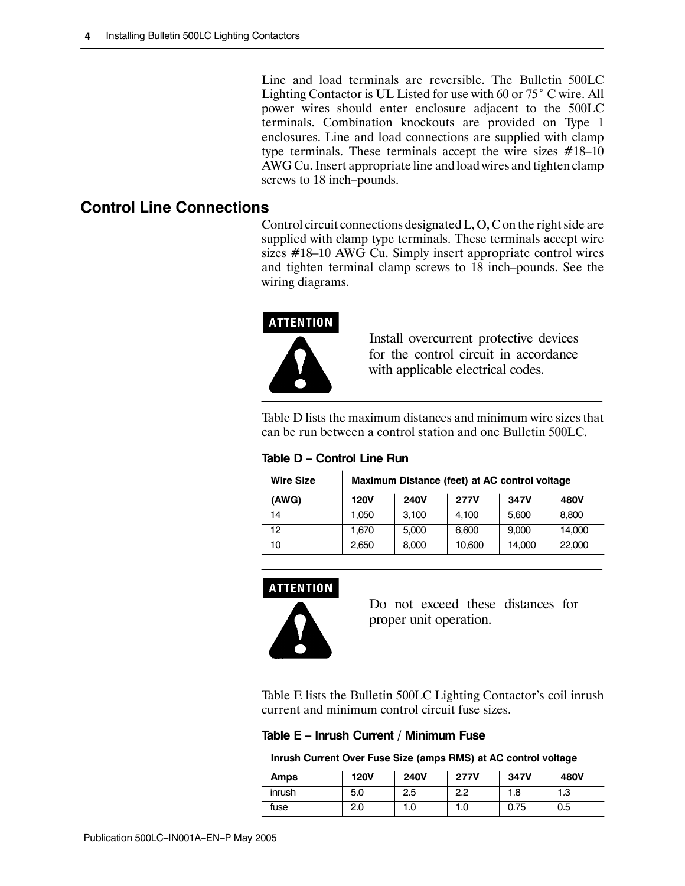Line and load terminals are reversible. The Bulletin 500LC Lighting Contactor is UL Listed for use with 60 or 75˚ C wire. All power wires should enter enclosure adjacent to the 500LC terminals. Combination knockouts are provided on Type 1 enclosures. Line and load connections are supplied with clamp type terminals. These terminals accept the wire sizes #18–10 AWG Cu. Insert appropriate line and load wires and tighten clamp screws to 18 inch–pounds.

#### **Control Line Connections**

Control circuit connections designated L, O, C on the right side are supplied with clamp type terminals. These terminals accept wire sizes #18–10 AWG Cu. Simply insert appropriate control wires and tighten terminal clamp screws to 18 inch–pounds. See the wiring diagrams.



Install overcurrent protective devices for the control circuit in accordance with applicable electrical codes.

Table D lists the maximum distances and minimum wire sizes that can be run between a control station and one Bulletin 500LC.

| <b>Wire Size</b> |             | Maximum Distance (feet) at AC control voltage |             |        |        |
|------------------|-------------|-----------------------------------------------|-------------|--------|--------|
| (AWG)            | <b>120V</b> | <b>240V</b>                                   | <b>277V</b> | 347V   | 480V   |
| 14               | 1.050       | 3.100                                         | 4.100       | 5.600  | 8.800  |
| 12               | 1.670       | 5.000                                         | 6.600       | 9,000  | 14,000 |
| 10               | 2,650       | 8,000                                         | 10,600      | 14,000 | 22,000 |

**Table D – Control Line Run**

#### **ATTENTION**



Do not exceed these distances for proper unit operation.

Table E lists the Bulletin 500LC Lighting Contactor's coil inrush current and minimum control circuit fuse sizes.

**Table E – Inrush Current / Minimum Fuse**

**Inrush Current Over Fuse Size (amps RMS) at AC control voltage**

| Amps   | <b>120V</b> | <b>240V</b> | <b>277V</b> | 347V | 480V |
|--------|-------------|-------------|-------------|------|------|
| inrush | 5.0         | 2.5         | 2.2         | 1.8  | 1.3  |
| fuse   | 2.0         | 1.0         | 1.0         | 0.75 | 0.5  |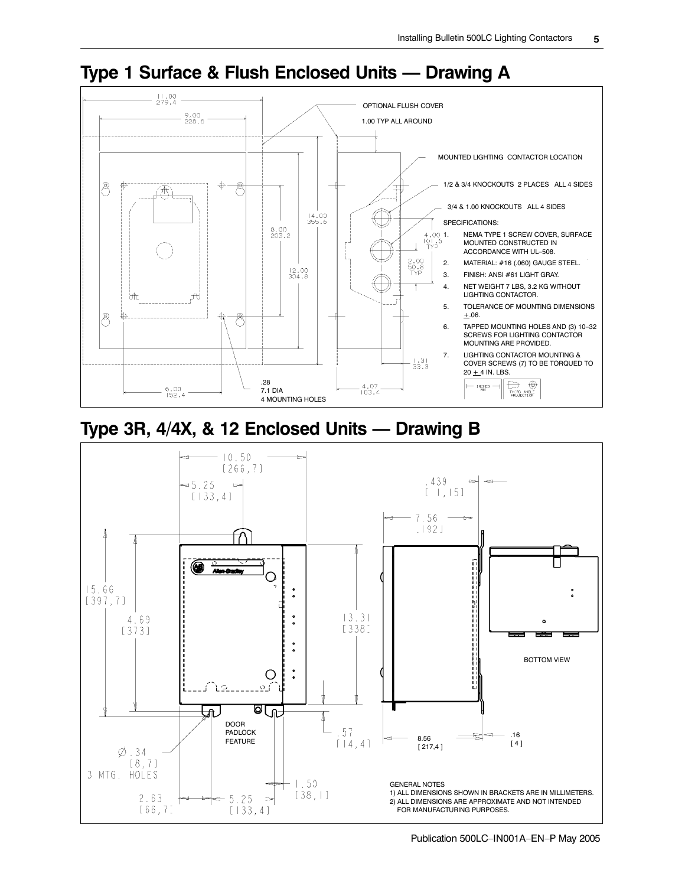

## **Type 1 Surface & Flush Enclosed Units — Drawing A**

# **Type 3R, 4/4X, & 12 Enclosed Units — Drawing B**



Publication 500LC–IN001A–EN–P May 2005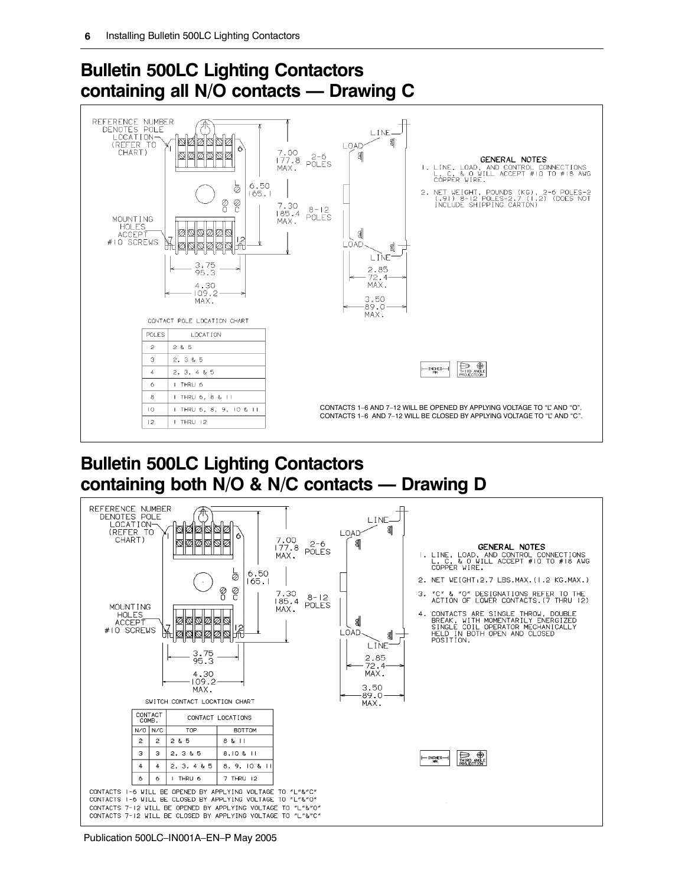

# **Bulletin 500LC Lighting Contactors containing all N/O contacts — Drawing C**

#### **Bulletin 500LC Lighting Contactors containing both N/O & N/C contacts — Drawing D**



Publication 500LC–IN001A–EN–P May 2005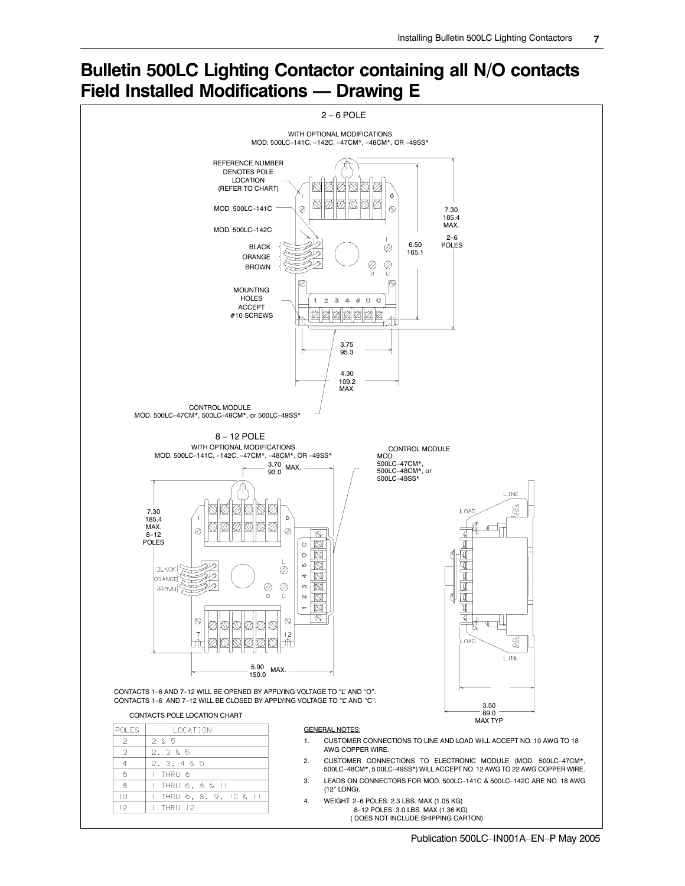# **Bulletin 500LC Lighting Contactor containing all N/O contacts Field Installed Modifications — Drawing E**

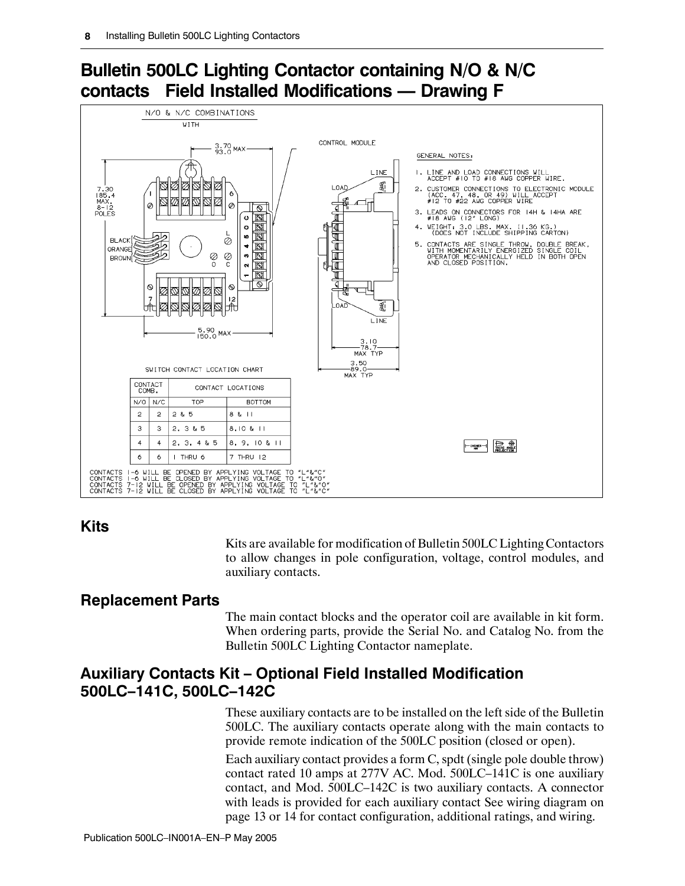# **Bulletin 500LC Lighting Contactor containing N/O & N/C contacts Field Installed Modifications — Drawing F**



#### **Kits**

Kits are available for modification of Bulletin 500LC Lighting Contactors to allow changes in pole configuration, voltage, control modules, and auxiliary contacts.

#### **Replacement Parts**

The main contact blocks and the operator coil are available in kit form. When ordering parts, provide the Serial No. and Catalog No. from the Bulletin 500LC Lighting Contactor nameplate.

#### **Auxiliary Contacts Kit – Optional Field Installed Modification 500LC–141C, 500LC–142C**

These auxiliary contacts are to be installed on the left side of the Bulletin 500LC. The auxiliary contacts operate along with the main contacts to provide remote indication of the 500LC position (closed or open).

Each auxiliary contact provides a form C, spdt (single pole double throw) contact rated 10 amps at 277V AC. Mod. 500LC–141C is one auxiliary contact, and Mod. 500LC–142C is two auxiliary contacts. A connector with leads is provided for each auxiliary contact See wiring diagram on page 13 or 14 for contact configuration, additional ratings, and wiring.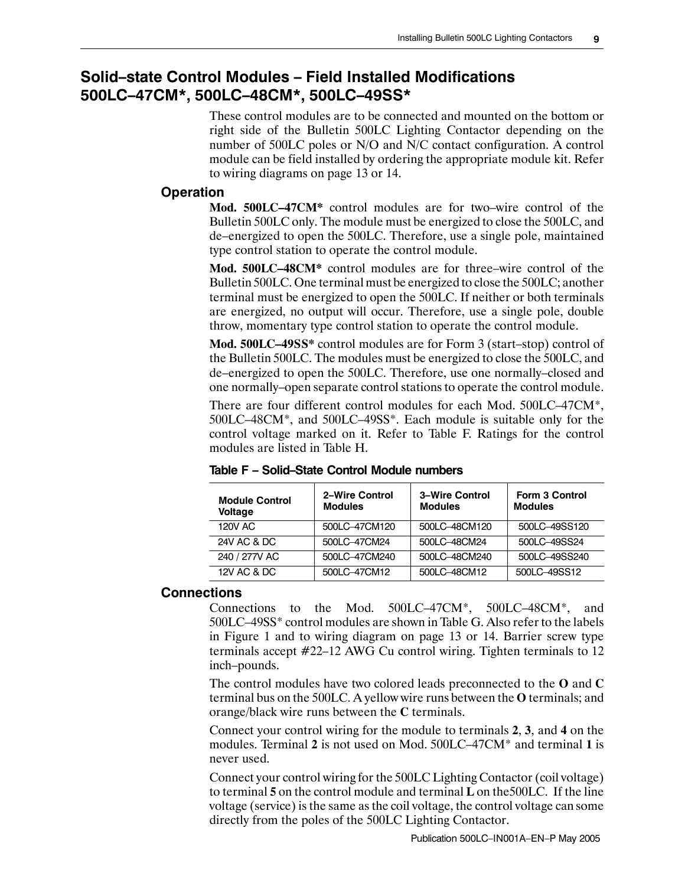#### **Solid–state Control Modules – Field Installed Modifications 500LC–47CM\*, 500LC–48CM\*, 500LC–49SS\***

These control modules are to be connected and mounted on the bottom or right side of the Bulletin 500LC Lighting Contactor depending on the number of 500LC poles or N/O and N/C contact configuration. A control module can be field installed by ordering the appropriate module kit. Refer to wiring diagrams on page 13 or 14.

#### **Operation**

**Mod. 500LC–47CM\*** control modules are for two–wire control of the Bulletin 500LC only. The module must be energized to close the 500LC, and de–energized to open the 500LC. Therefore, use a single pole, maintained type control station to operate the control module.

**Mod. 500LC–48CM\*** control modules are for three–wire control of the Bulletin 500LC. One terminal must be energized to close the 500LC; another terminal must be energized to open the 500LC. If neither or both terminals are energized, no output will occur. Therefore, use a single pole, double throw, momentary type control station to operate the control module.

**Mod. 500LC–49SS\*** control modules are for Form 3 (start–stop) control of the Bulletin 500LC. The modules must be energized to close the 500LC, and de–energized to open the 500LC. Therefore, use one normally–closed and one normally–open separate control stations to operate the control module.

There are four different control modules for each Mod. 500LC–47CM\*, 500LC–48CM\*, and 500LC–49SS\*. Each module is suitable only for the control voltage marked on it. Refer to Table F. Ratings for the control modules are listed in Table H.

| <b>Module Control</b><br><b>Voltage</b> | 2-Wire Control<br><b>Modules</b> | 3-Wire Control<br><b>Modules</b> | <b>Form 3 Control</b><br><b>Modules</b> |
|-----------------------------------------|----------------------------------|----------------------------------|-----------------------------------------|
| 120V AC                                 | 500LC-47CM120                    | 500LC-48CM120                    | 500LC-49SS120                           |
| <b>24V AC &amp; DC</b>                  | 500LC-47CM24                     | 500LC-48CM24                     | 500LC-49SS24                            |
| 240 / 277V AC                           | 500LC-47CM240                    | 500LC-48CM240                    | 500LC-49SS240                           |
| 12V AC & DC                             | 500LC-47CM12                     | 500LC-48CM12                     | 500LC-49SS12                            |

**Table F – Solid–State Control Module numbers**

#### **Connections**

Connections to the Mod. 500LC–47CM\*, 500LC–48CM\*, and 500LC–49SS\* control modules are shown in Table G. Also refer to the labels in Figure 1 and to wiring diagram on page 13 or 14. Barrier screw type terminals accept #22–12 AWG Cu control wiring. Tighten terminals to 12 inch–pounds.

The control modules have two colored leads preconnected to the **O** and **C** terminal bus on the 500LC. A yellow wire runs between the **O** terminals; and orange/black wire runs between the **C** terminals.

Connect your control wiring for the module to terminals **2**, **3**, and **4** on the modules. Terminal **2** is not used on Mod. 500LC–47CM\* and terminal **1** is never used.

Connect your control wiring for the 500LC Lighting Contactor (coil voltage) to terminal **5** on the control module and terminal **L** on the500LC. If the line voltage (service) is the same as the coil voltage, the control voltage can some directly from the poles of the 500LC Lighting Contactor.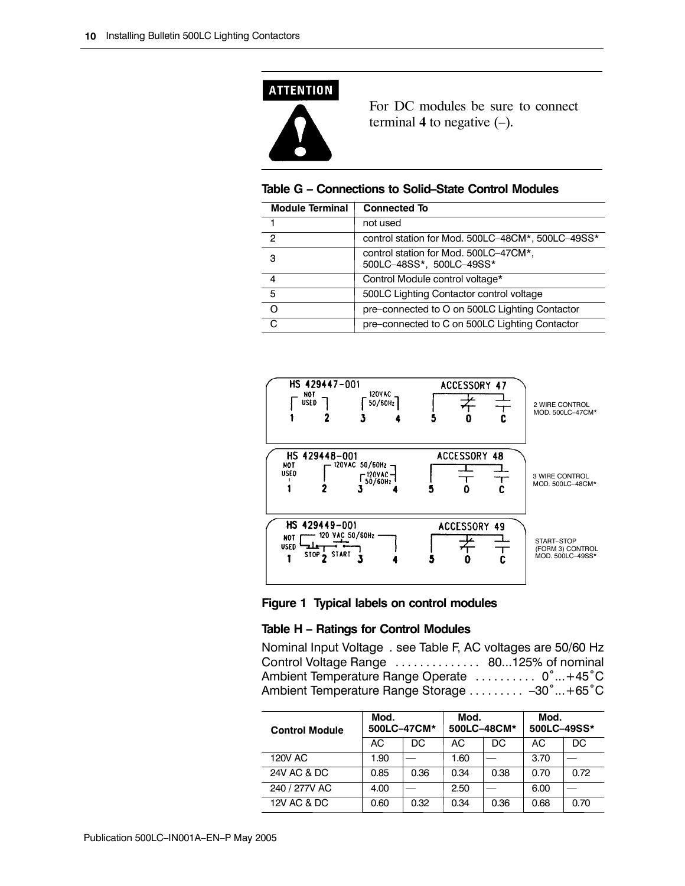

For DC modules be sure to connect terminal  $4$  to negative  $(-)$ .

#### **Table G – Connections to Solid–State Control Modules**

| <b>Module Terminal</b> | <b>Connected To</b>                                               |
|------------------------|-------------------------------------------------------------------|
|                        | not used                                                          |
| $\mathcal{P}$          | control station for Mod. 500LC-48CM*, 500LC-49SS*                 |
| з                      | control station for Mod. 500LC-47CM*,<br>500LC-48SS*, 500LC-49SS* |
| 4                      | Control Module control voltage*                                   |
| 5                      | 500LC Lighting Contactor control voltage                          |
| O                      | pre-connected to O on 500LC Lighting Contactor                    |
| C                      | pre-connected to C on 500LC Lighting Contactor                    |





#### **Table H – Ratings for Control Modules**

Nominal Input Voltage . see Table F, AC voltages are 50/60 Hz Control Voltage Range .................... 80...125% of nominal Ambient Temperature Range Operate ........... 0° ... +45°C Ambient Temperature Range Storage .......... -30° ... +65°C

| <b>Control Module</b>  | Mod. | 500LC-47CM* | Mod.<br>Mod.<br>500LC-48CM*<br>500LC-49SS* |      |      |      |
|------------------------|------|-------------|--------------------------------------------|------|------|------|
|                        | AC   | DC          | AC                                         | DC   | AC   | DC.  |
| <b>120V AC</b>         | 1.90 |             | 1.60                                       |      | 3.70 |      |
| <b>24V AC &amp; DC</b> | 0.85 | 0.36        | 0.34                                       | 0.38 | 0.70 | 0.72 |
| 240 / 277V AC          | 4.00 |             | 2.50                                       |      | 6.00 |      |
| 12V AC & DC            | 0.60 | 0.32        | 0.34                                       | 0.36 | 0.68 | 0.70 |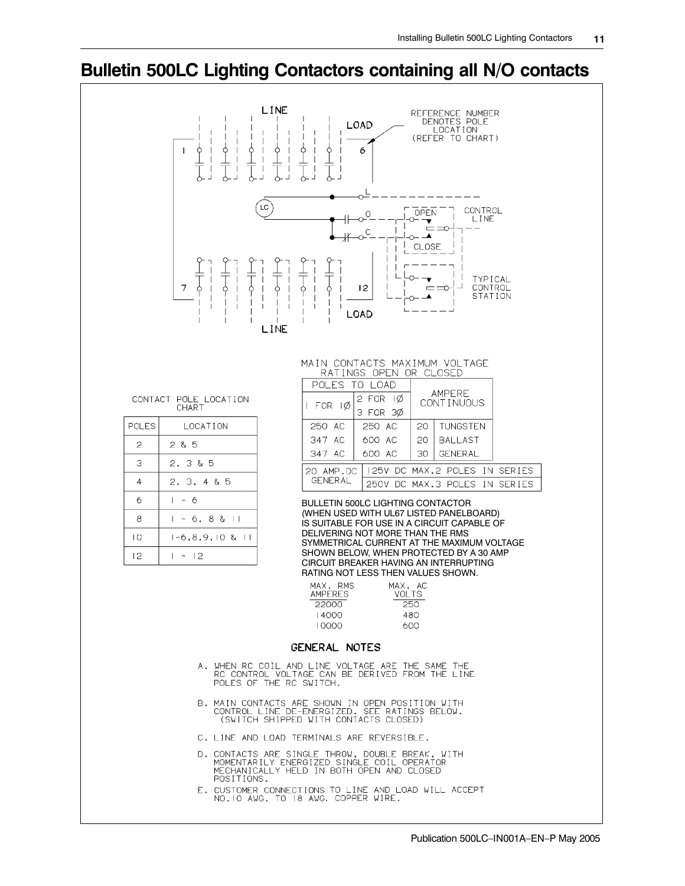#### **Bulletin 500LC Lighting Contactors containing all N/O contacts**

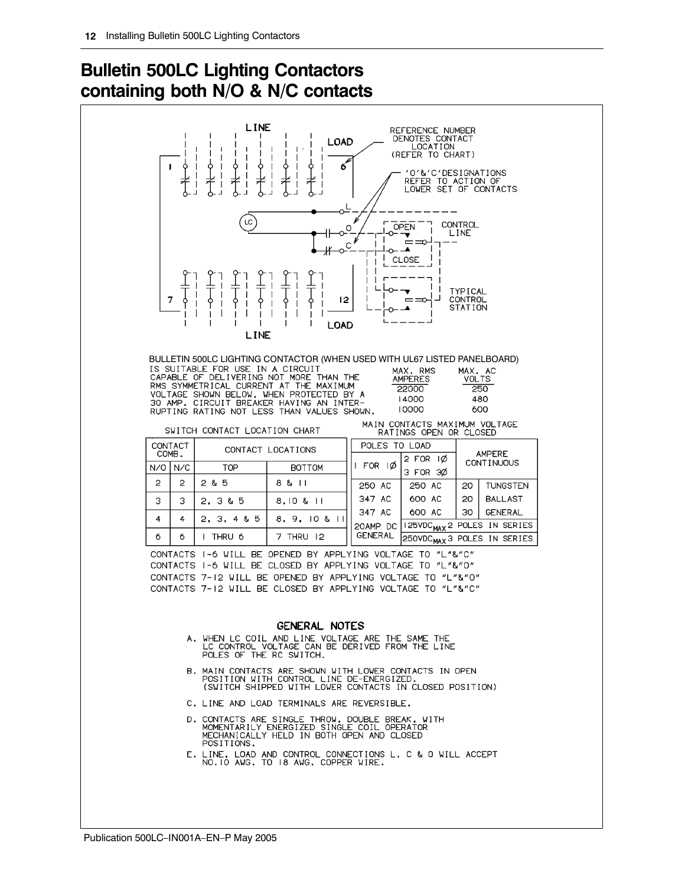# **Bulletin 500LC Lighting Contactors containing both N/O & N/C contacts**

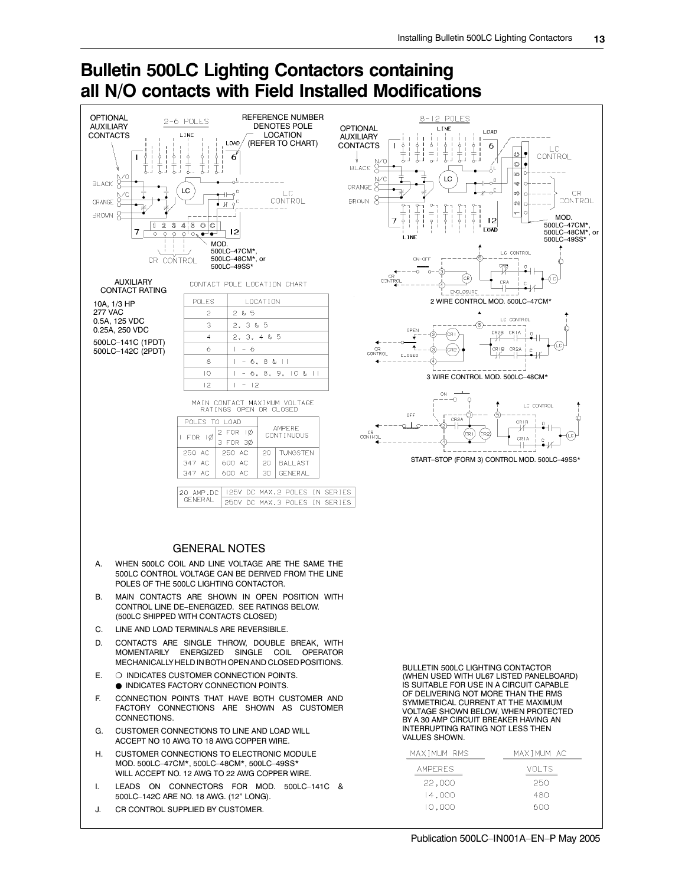#### **all N/O contacts with Field Installed Modifications OPTIONAL** REFERENCE NUMBER POLES  $12$  $^8$ 2-6 POLES AUXILIARY DENOTES POLE **OPTIONAL** LINE LOAD CONTACTS LOCATION **I** TNF AUXILIARY (REFER TO CHART)LOAD 6 **CONTACTS** i.  $\circ$ CONTROL 6  $\circ$ **BLACK** ശ്ര LC  $\pm$ r.<br>T BL ACK ORANGE  $\overline{C}$ CR  $\overline{1}$  C Ø) **CONTROL BROWN** CONTROL ORANGE  $\frac{1}{2}$  $\sim$ **BROWN** MOD.  $12$  $450C$  $\mathbf{1}$  $\mathbb{Z}$ 3 500LC–47CM\*, 500LC–48CM\*, or **LOAD** 7  $12$  $Q^+Q_2$ ٠ 500LC–49SS\* MOD. 500LC–47CM\*, 500LC–48CM\*, or CR CONTROL ON-OFS 500LC–49SS\* CRB (GR n avi .<br>CRA AUXILIARY CONTACT POLE LOCATION CHART CONTACT RATING ENCLOSURE POLES LOCATION 2 WIRE CONTROL MOD. 500LC–47CM\* 10A, 1/3 HP 277 VAC  $285$ LC CONTROL 0.5A, 125 VDC Ġ  $\overline{2}$ . 3 & 5 0.25A, 250 VDC OPEN  $T^{\text{CR}}$  $\sqrt{CR}$ CR2B<br>—V—  $\overline{a}$ Ŧ  $2.$  $3, 4 & 5$ 500LC–141C (1PDT)  $\ddot{\phantom{1}}$ .<br>R∣B  $CR2I$  $\ddot{\rm c}$ 6 (cr2 500LC–142C (2PDT) CR<br>CONTROL **CLOSED**  $\overline{8}$  $6, 8 & 11$  $\overline{10}$  $6, 8, 9, 10 & 11$  $\vert -$ 3 WIRE CONTROL MOD. 500LC–48CM\*  $\overline{12}$  $\mathbf{I}$  $\overline{12}$ ÓN -5 MAIN CONTACT MAXIMUM VOLTAGE<br>RATINGS OPEN OR CLOSED LC CONTROL OFF POLES TO LOAD cr⊥b<br>—/<del>∕</del> **AMPERE** 2 FOR ۱Ø CONT INUOUS CF<br>CONT FOR  $\overline{Q}$ CR1A 3 FOR 30 ⊣⊢ 250 AC 250 AC  $\overline{20}$ **TUNGSTEN** START–STOP (FORM 3) CONTROL MOD. 500LC–49SS\*  $347 \text{ AC}$ 600 AC  $20 -$ RAI LAST 347 AC 600 AC 30 GENERAL 125V DC MAX.2 POLES IN SERIES 20 AMP.DC<br>GENERAL 250V DC MAX.3 POLES IN SERIES GENERAL NOTES A. WHEN 500LC COIL AND LINE VOLTAGE ARE THE SAME THE 500LC CONTROL VOLTAGE CAN BE DERIVED FROM THE LINE POLES OF THE 500LC LIGHTING CONTACTOR. B. MAIN CONTACTS ARE SHOWN IN OPEN POSITION WITH CONTROL LINE DE–ENERGIZED. SEE RATINGS BELOW. (500LC SHIPPED WITH CONTACTS CLOSED) C. LINE AND LOAD TERMINALS ARE REVERSIBILE. D. CONTACTS ARE SINGLE THROW, DOUBLE BREAK, WITH MOMENTARILY ENERGIZED SINGLE COIL OPERATOR MECHANICALLY HELD IN BOTH OPEN AND CLOSED POSITIONS. BULLETIN 500LC LIGHTING CONTACTOR E. ❍ INDICATES CUSTOMER CONNECTION POINTS. (WHEN USED WITH UL67 LISTED PANELBOARD) ● INDICATES FACTORY CONNECTION POINTS. IS SUITABLE FOR USE IN A CIRCUIT CAPABLE OF DELIVERING NOT MORE THAN THE RMS F. CONNECTION POINTS THAT HAVE BOTH CUSTOMER AND SYMMETRICAL CURRENT AT THE MAXIMUM FACTORY CONNECTIONS ARE SHOWN AS CUSTOMER VOLTAGE SHOWN BELOW, WHEN PROTECTED **CONNECTIONS** BY A 30 AMP CIRCUIT BREAKER HAVING AN INTERRUPTING RATING NOT LESS THEN G. CUSTOMER CONNECTIONS TO LINE AND LOAD WILL VALUES SHOWN. ACCEPT NO 10 AWG TO 18 AWG COPPER WIRE. H. CUSTOMER CONNECTIONS TO ELECTRONIC MODULE MAXIMUM RMS MAXIMUM AC MOD. 500LC–47CM\*, 500LC–48CM\*, 500LC–49SS\* **AMPERES** VOL TS WILL ACCEPT NO. 12 AWG TO 22 AWG COPPER WIRE 250 22,000 I. LEADS ON CONNECTORS FOR MOD. 500LC–141C & 14,000 480 500LC–142C ARE NO. 18 AWG. (12" LONG). 10,000 600 J. CR CONTROL SUPPLIED BY CUSTOMER.

# **Bulletin 500LC Lighting Contactors containing**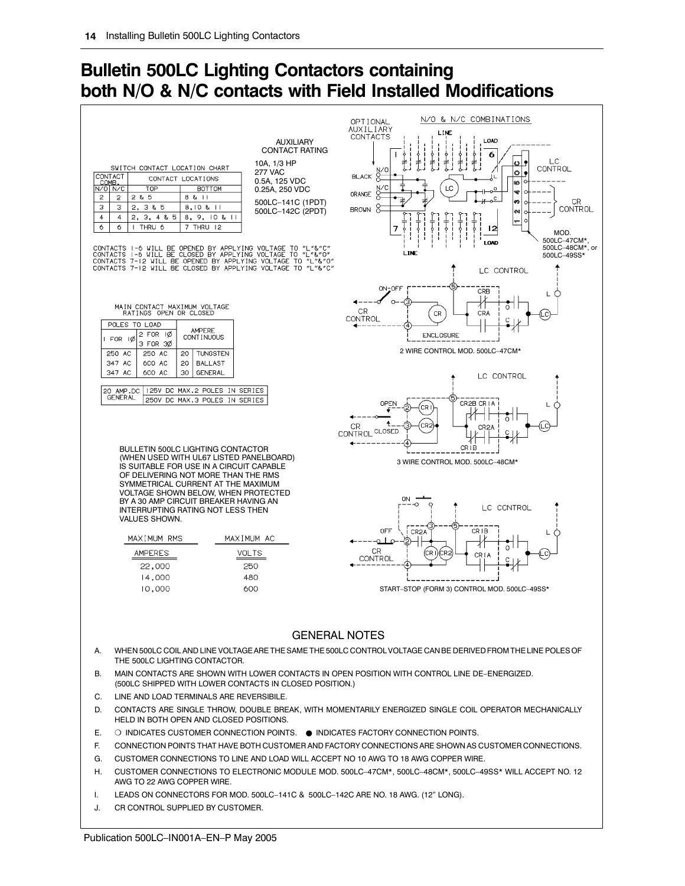# **Bulletin 500LC Lighting Contactors containing both N/O & N/C contacts with Field Installed Modifications**



- G. CUSTOMER CONNECTIONS TO LINE AND LOAD WILL ACCEPT NO 10 AWG TO 18 AWG COPPER WIRE.
- H. CUSTOMER CONNECTIONS TO ELECTRONIC MODULE MOD. 500LC–47CM\*, 500LC–48CM\*, 500LC–49SS\* WILL ACCEPT NO. 12 AWG TO 22 AWG COPPER WIRE.
- I. LEADS ON CONNECTORS FOR MOD. 500LC–141C & 500LC–142C ARE NO. 18 AWG. (12" LONG).
- J. CR CONTROL SUPPLIED BY CUSTOMER.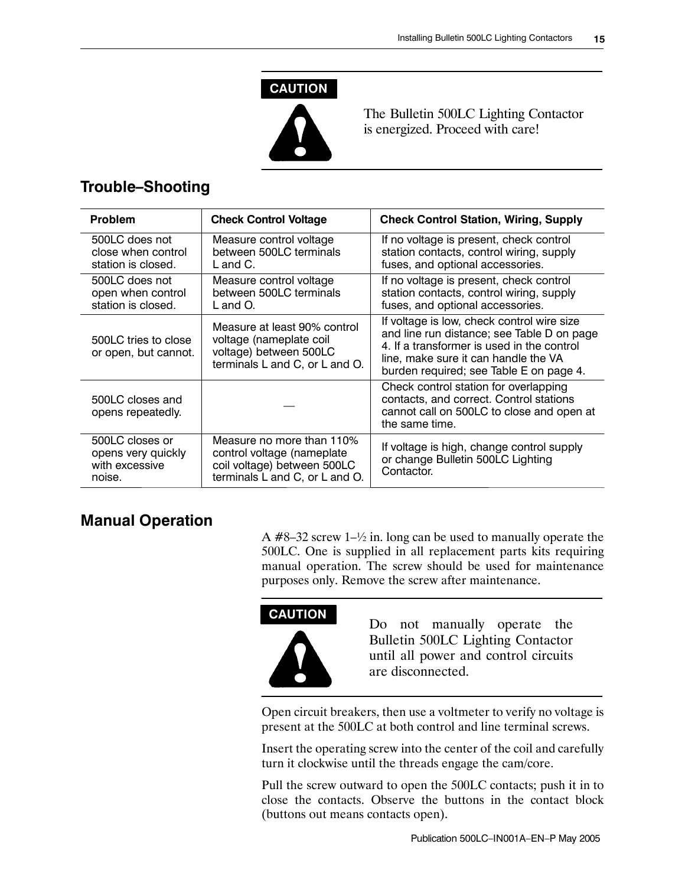#### **CAUTION**



The Bulletin 500LC Lighting Contactor is energized. Proceed with care!

#### **Trouble–Shooting**

| <b>Problem</b>                                                    | <b>Check Control Voltage</b>                                                                                             | <b>Check Control Station, Wiring, Supply</b>                                                                                                                                                                              |
|-------------------------------------------------------------------|--------------------------------------------------------------------------------------------------------------------------|---------------------------------------------------------------------------------------------------------------------------------------------------------------------------------------------------------------------------|
| 500LC does not<br>close when control<br>station is closed.        | Measure control voltage<br>between 500LC terminals<br>$L$ and $C$ .                                                      | If no voltage is present, check control<br>station contacts, control wiring, supply<br>fuses, and optional accessories.                                                                                                   |
| 500LC does not<br>open when control<br>station is closed.         | Measure control voltage<br>between 500LC terminals<br>L and O.                                                           | If no voltage is present, check control<br>station contacts, control wiring, supply<br>fuses, and optional accessories.                                                                                                   |
| 500LC tries to close<br>or open, but cannot.                      | Measure at least 90% control<br>voltage (nameplate coil<br>voltage) between 500LC<br>terminals L and C, or L and O.      | If voltage is low, check control wire size<br>and line run distance; see Table D on page<br>4. If a transformer is used in the control<br>line, make sure it can handle the VA<br>burden required; see Table E on page 4. |
| 500LC closes and<br>opens repeatedly.                             |                                                                                                                          | Check control station for overlapping<br>contacts, and correct. Control stations<br>cannot call on 500LC to close and open at<br>the same time.                                                                           |
| 500LC closes or<br>opens very quickly<br>with excessive<br>noise. | Measure no more than 110%<br>control voltage (nameplate<br>coil voltage) between 500LC<br>terminals L and C, or L and O. | If voltage is high, change control supply<br>or change Bulletin 500LC Lighting<br>Contactor.                                                                                                                              |

#### **Manual Operation**

A  $#8-32$  screw 1– $\frac{1}{2}$  in. long can be used to manually operate the 500LC. One is supplied in all replacement parts kits requiring manual operation. The screw should be used for maintenance purposes only. Remove the screw after maintenance.



Do not manually operate the Bulletin 500LC Lighting Contactor until all power and control circuits are disconnected.

Open circuit breakers, then use a voltmeter to verify no voltage is present at the 500LC at both control and line terminal screws.

Insert the operating screw into the center of the coil and carefully turn it clockwise until the threads engage the cam/core.

Pull the screw outward to open the 500LC contacts; push it in to close the contacts. Observe the buttons in the contact block (buttons out means contacts open).